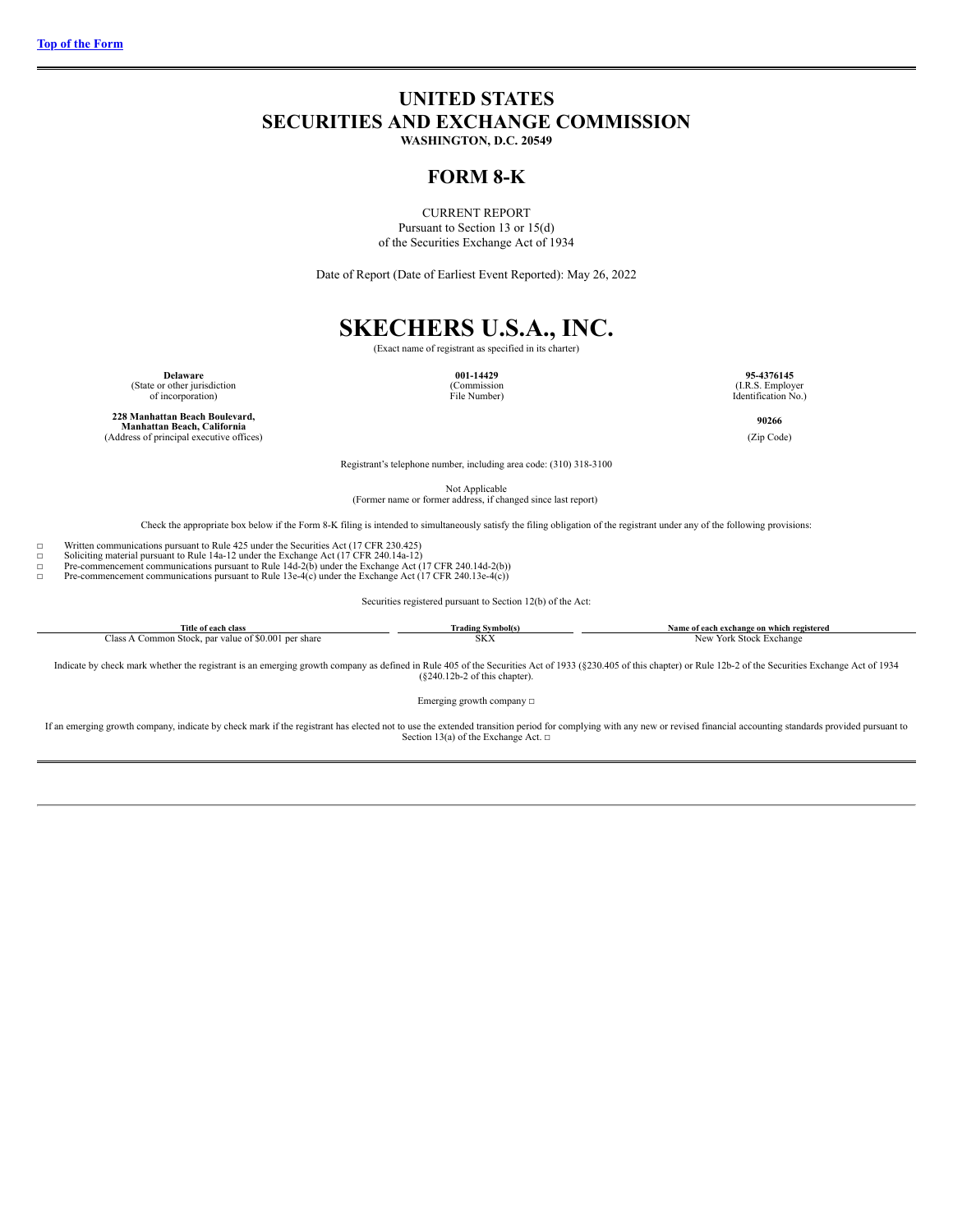## <span id="page-0-0"></span>**UNITED STATES SECURITIES AND EXCHANGE COMMISSION**

**WASHINGTON, D.C. 20549**

### **FORM 8-K**

CURRENT REPORT Pursuant to Section 13 or 15(d) of the Securities Exchange Act of 1934

Date of Report (Date of Earliest Event Reported): May 26, 2022

# **SKECHERS U.S.A., INC.** (Exact name of registrant as specified in its charter)

**Delaware 001-14429 95-4376145**<br>
(State or other jurisdiction **95-4376145** (Commission **95-4376145 95-4376145** 

of incorporation) File Number) Identification No.)

**228 Manhattan Beach Boulevard, Manhattan Beach, California**(Address of principal executive offices)
(Zip Code)
(Cap Code)
(Cap Code)
(Address of principal executive offices)

**90266**

Registrant's telephone number, including area code: (310) 318-3100

Not Applicable (Former name or former address, if changed since last report)

Check the appropriate box below if the Form 8-K filing is intended to simultaneously satisfy the filing obligation of the registrant under any of the following provisions:

☐ Written communications pursuant to Rule 425 under the Securities Act (17 CFR 230.425) ☐ Soliciting material pursuant to Rule 14a-12 under the Exchange Act (17 CFR 240.14a-12)

□ Pre-commencement communications pursuant to Rule 14d-2(b) under the Exchange Act (17 CFR 240.14d-2(b))<br>Pre-commencement communications pursuant to Rule 13e-4(c) under the Exchange Act (17 CFR 240.13e-4(c))

Pre-commencement communications pursuant to Rule 13e-4 $(c)$  under the Exchange Act (17 CFR 240.13e-4 $(c)$ )

Securities registered pursuant to Section 12(b) of the Act:

| Title of each class                                                 | Irading Symbol(s)   | Name of each exchange on which registered |
|---------------------------------------------------------------------|---------------------|-------------------------------------------|
| , 00'<br>lass<br>per share<br>mmon<br>Stock.<br>. par value of \$0. | CONT.<br><b>DIA</b> | . Exchang<br>York Stock<br>New            |

Indicate by check mark whether the registrant is an emerging growth company as defined in Rule 405 of the Securities Act of 1933 (§230.405 of this chapter) or Rule 12b-2 of the Securities Exchange Act of 1934 (§240.12b-2 o

Emerging growth company  $\Box$ 

If an emerging growth company, indicate by check mark if the registrant has elected not to use the extended transition period for complying with any new or revised financial accounting standards provided pursuant to<br>Secti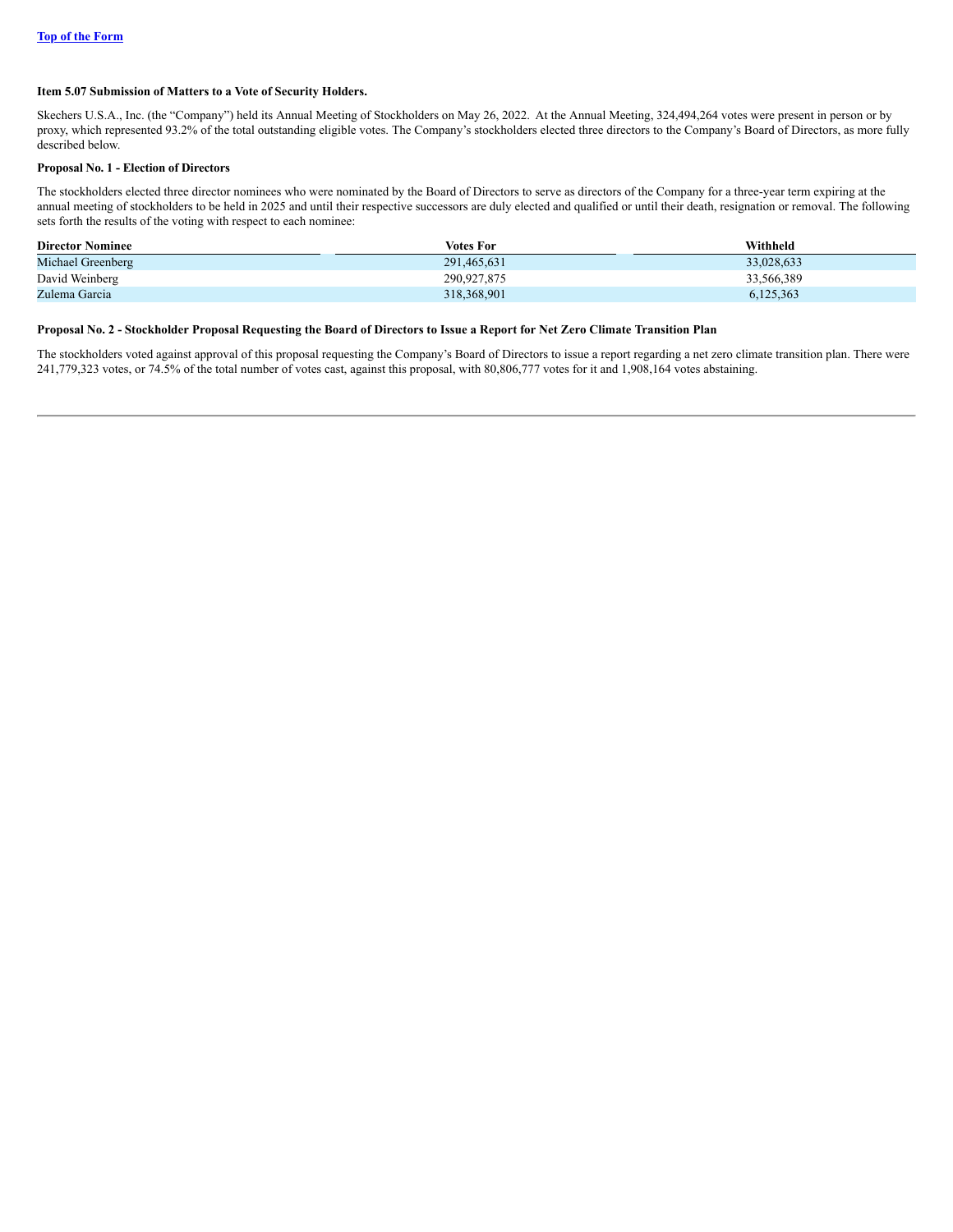#### **Item 5.07 Submission of Matters to a Vote of Security Holders.**

Skechers U.S.A., Inc. (the "Company") held its Annual Meeting of Stockholders on May 26, 2022. At the Annual Meeting, 324,494,264 votes were present in person or by proxy, which represented 93.2% of the total outstanding eligible votes. The Company's stockholders elected three directors to the Company's Board of Directors, as more fully described below.

#### **Proposal No. 1 - Election of Directors**

The stockholders elected three director nominees who were nominated by the Board of Directors to serve as directors of the Company for a three-year term expiring at the annual meeting of stockholders to be held in 2025 and until their respective successors are duly elected and qualified or until their death, resignation or removal. The following sets forth the results of the voting with respect to each nominee:

| <b>Director Nominee</b> | <b>Votes For</b> | Withheld   |
|-------------------------|------------------|------------|
| Michael Greenberg       | 291.465.631      | 33,028,633 |
| David Weinberg          | 290.927.875      | 33,566,389 |
| Zulema Garcia           | 318,368,901      | 6,125,363  |

#### Proposal No. 2 - Stockholder Proposal Requesting the Board of Directors to Issue a Report for Net Zero Climate Transition Plan

The stockholders voted against approval of this proposal requesting the Company's Board of Directors to issue a report regarding a net zero climate transition plan. There were 241,779,323 votes, or 74.5% of the total number of votes cast, against this proposal, with 80,806,777 votes for it and 1,908,164 votes abstaining.